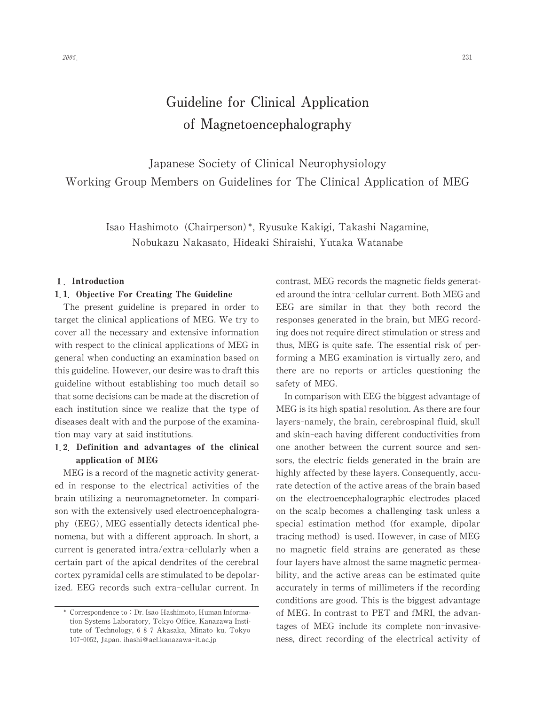# Guideline for Clinical Application of Magnetoencephalography

Japanese Society of Clinical Neurophysiology Working Group Members on Guidelines for The Clinical Application of MEG

> Isao Hashimoto (Chairperson)\*, Ryusuke Kakigi, Takashi Nagamine, Nobukazu Nakasato, Hideaki Shiraishi, Yutaka Watanabe

### 1. Introduction

### 1.1. Objective For Creating The Guideline

The present guideline is prepared in order to target the clinical applications of MEG.We try to cover all the necessary and extensive information with respect to the clinical applications of MEG in general when conducting an examination based on this guideline. However, our desire was to draft this guideline without establishing too much detail so that some decisions can be made at the discretion of each institution since we realize that the type of diseases dealt with and the purpose of the examination may vary at said institutions.

# 1.2. Definition and advantages of the clinical application of MEG

MEG is a record of the magnetic activity generated in response to the electrical activities of the brain utilizing a neuromagnetometer. In comparison with the extensively used electroencephalography (EEG), MEG essentially detects identical phenomena, but with a different approach. In short, a current is generated intra/extra-cellularly when a certain part of the apical dendrites of the cerebral cortex pyramidal cells are stimulated to be depolarized. EEG records such extra-cellular current. In

contrast, MEG records the magnetic fields generated around the intra-cellular current. Both MEG and EEG are similar in that they both record the responses generated in the brain, but MEG recording does not require direct stimulation or stress and thus,MEG is quite safe. The essential risk of performing a MEG examination is virtually zero, and there are no reports or articles questioning the safety of MEG.

In comparison with EEG the biggest advantage of MEG is its high spatial resolution. As there are four layers-namely, the brain, cerebrospinal fluid, skull and skin-each having different conductivities from one another between the current source and sensors, the electric fields generated in the brain are highly affected by these layers. Consequently, accurate detection of the active areas of the brain based on the electroencephalographic electrodes placed on the scalp becomes a challenging task unless a special estimation method (for example, dipolar tracing method) is used. However, in case of MEG no magnetic field strains are generated as these four layers have almost the same magnetic permeability, and the active areas can be estimated quite accurately in terms of millimeters if the recording conditions are good.This is the biggest advantage of MEG. In contrast to PET and fMRI, the advantages of MEG include its complete non-invasiveness, direct recording of the electrical activity of

<sup>\*</sup> Correspondence to: Dr. Isao Hashimoto, Human Information Systems Laboratory, Tokyo Office, Kanazawa Institute of Technology, 6-8-7 Akasaka, Minato-ku, Tokyo 107-0052,Japan. ihashi@ael.kanazawa-it.ac.jp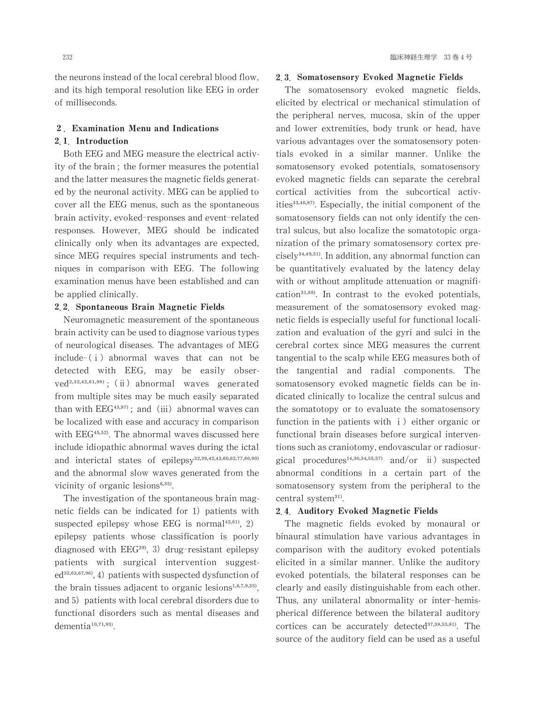the neurons instead of the local cerebral blood flow, and its high temporal resolution like EEG in order of milliseconds.

### 2. Examination Menu and Indications 2.1 Introduction

# Both EEG and MEG measure the electrical activity of the brain; the former measures the potential and the latter measures the magnetic fields generated by the neuronal activity. MEG can be applied to cover all the EEG menus, such as the spontaneous brain activity, evoked-responses and event-related responses. However, MEG should be indicated clinically only when its advantages are expected, since MEG requires special instruments and techniques in comparison with EEG. The following examination menus have been established and can be applied clinically.

#### 쏚쏚 Spontaneous Brain Magnetic Fields

Neuromagnetic measurement of the spontaneous brain activity can be used to diagnose various types of neurological diseases. The advantages of MEG  $include-(i)$  abnormal waves that can not be detected with EEG, may be easily obser $ved^{2,32,42,61,98)}$ ; (ii) abnormal waves generated from multiple sites may be much easily separated than with  $EEG<sup>43,97</sup>$ ; and (iii) abnormal waves can be localized with ease and accuracy in comparison with  $EEG<sup>45,52</sup>$ . The abnormal waves discussed here include idiopathic abnormal waves during the ictal and interictal states of epilepsy<sup>32,39,42,43,60,62,77,80,90)</sup> and the abnormal slow waves generated from the vicinity of organic lesions<sup>6,35)</sup>.

The investigation of the spontaneous brain magnetic fields can be indicated for  $1$ ) patients with suspected epilepsy whose EEG is normal $42,61$ , 2) epilepsy patients whose classification is poorly diagnosed with  $EEG<sup>29</sup>$ , 3) drug-resistant epilepsy patients with surgical intervention suggested<sup>32,63,67,96</sup>, 4) patients with suspected dysfunction of the brain tissues adjacent to organic lesions $1,6,7,9,35$ , and 5) patients with local cerebral disorders due to functional disorders such as mental diseases and dementia<sup>10,71,93)</sup>.

#### 2.3 Somatosensory Evoked Magnetic Fields

The somatosensory evoked magnetic fields, elicited by electrical or mechanical stimulation of the peripheral nerves, mucosa, skin of the upper and lower extremities, body trunk or head, have various advantages over the somatosensory potentials evoked in a similar manner. Unlike the somatosensory evoked potentials, somatosensory evoked magnetic fields can separate the cerebral cortical activities from the subcortical activities $^{33,40,87}$ . Especially, the initial component of the somatosensory fields can not only identify the central sulcus, but also localize the somatotopic organization of the primary somatosensory cortex pre $cisely<sup>34,49,51</sup>$ . In addition, any abnormal function can be quantitatively evaluated by the latency delay with or without amplitude attenuation or magnification $a<sup>31,88</sup>$ . In contrast to the evoked potentials, measurement of the somatosensory evoked magnetic fields is especially useful for functional localization and evaluation of the gyri and sulci in the cerebral cortex since MEG measures the current tangential to the scalp while EEG measures both of the tangential and radial components. The somatosensory evoked magnetic fields can be indicated clinically to localize the central sulcus and the somatotopy or to evaluate the somatosensory function in the patients with  $i$ ) either organic or functional brain diseases before surgical interventions such as craniotomy, endovascular or radiosurgical procedures<sup>14,30,34,55,57)</sup> and/or  $ii$ ) suspected abnormal conditions in a certain part of the somatosensory system from the peripheral to the central system<sup>31)</sup>.

### 쏚쏜 Auditory Evoked Magnetic Fields

The magnetic fields evoked by monaural or binaural stimulation have various advantages in comparison with the auditory evoked potentials elicited in a similar manner. Unlike the auditory evoked potentials, the bilateral responses can be clearly and easily distinguishable from each other. Thus, any unilateral abnormality or inter-hemispherical difference between the bilateral auditory cortices can be accurately detected<sup>37,38,53,81)</sup>. The source of the auditory field can be used as a useful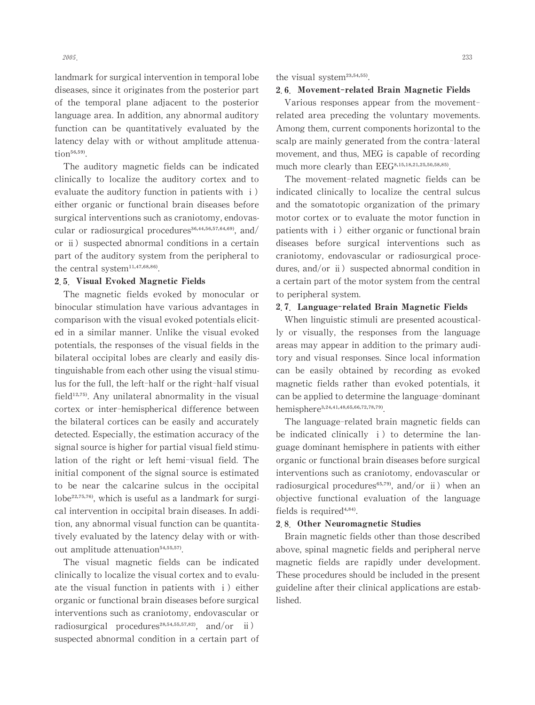landmark for surgical intervention in temporal lobe diseases, since it originates from the posterior part of the temporal plane adjacent to the posterior language area. In addition, any abnormal auditory

function can be quantitatively evaluated by the latency delay with or without amplitude attenua $tion<sup>56,59</sup>$ . The auditory magnetic fields can be indicated

clinically to localize the auditory cortex and to evaluate the auditory function in patients with  $\mathbf{i}$ ) either organic or functional brain diseases before surgical interventions such as craniotomy, endovascular or radiosurgical procedures $36,44,56,57,64,69$ , and/ or ⅱ) suspected abnormal conditions in a certain part of the auditory system from the peripheral to the central system $11,47,68,86$ .

#### 2.5. Visual Evoked Magnetic Fields

The magnetic fields evoked by monocular or binocular stimulation have various advantages in comparison with the visual evoked potentials elicited in a similar manner. Unlike the visual evoked potentials, the responses of the visual fields in the bilateral occipital lobes are clearly and easily distinguishable from each other using the visual stimulus for the full, the left-half or the right-half visual field $12,75$ . Any unilateral abnormality in the visual cortex or inter-hemispherical difference between the bilateral cortices can be easily and accurately detected. Especially, the estimation accuracy of the signal source is higher for partial visual field stimulation of the right or left hemi-visual field. The initial component of the signal source is estimated to be near the calcarine sulcus in the occipital lobe $22,75,76$ , which is useful as a landmark for surgical intervention in occipital brain diseases.In addition, any abnormal visual function can be quantitatively evaluated by the latency delay with or without amplitude attenuation<sup>54,55,57</sup>.

The visual magnetic fields can be indicated clinically to localize the visual cortex and to evaluate the visual function in patients with  $i$ ) either organic or functional brain diseases before surgical interventions such as craniotomy, endovascular or radiosurgical procedures<sup>28,54,55,57,82</sup>, and/or  $\ddot{\text{ii}}$ ) suspected abnormal condition in a certain part of the visual system<sup>23,54,55)</sup>.

#### 2.6. Movement-related Brain Magnetic Fields

Various responses appear from the movementrelated area preceding the voluntary movements. Among them, current components horizontal to the scalp are mainly generated from the contra-lateral movement, and thus, MEG is capable of recording much more clearly than EEG<sup>8,15,18,21,25,50,58,85</sup>.

The movement-related magnetic fields can be indicated clinically to localize the central sulcus and the somatotopic organization of the primary motor cortex or to evaluate the motor function in patients with  $i)$  either organic or functional brain diseases before surgical interventions such as craniotomy, endovascular or radiosurgical procedures, and/or ii) suspected abnormal condition in a certain part of the motor system from the central to peripheral system.

### 2.7 Language-related Brain Magnetic Fields

When linguistic stimuli are presented acoustically or visually, the responses from the language areas may appear in addition to the primary auditory and visual responses. Since local information can be easily obtained by recording as evoked magnetic fields rather than evoked potentials, it can be applied to determine the language-dominant hemisphere<sup>3,24,41,48,65,66,72,78,79)</sup>

The language-related brain magnetic fields can be indicated clinically  $i$ ) to determine the language dominant hemisphere in patients with either organic or functional brain diseases before surgical interventions such as craniotomy, endovascular or radiosurgical procedures $s^{65,79}$ , and/or ii) when an objective functional evaluation of the language fields is required $4,84$ .

#### 2.8 Other Neuromagnetic Studies

Brain magnetic fields other than those described above, spinal magnetic fields and peripheral nerve magnetic fields are rapidly under development. These procedures should be included in the present guideline after their clinical applications are established.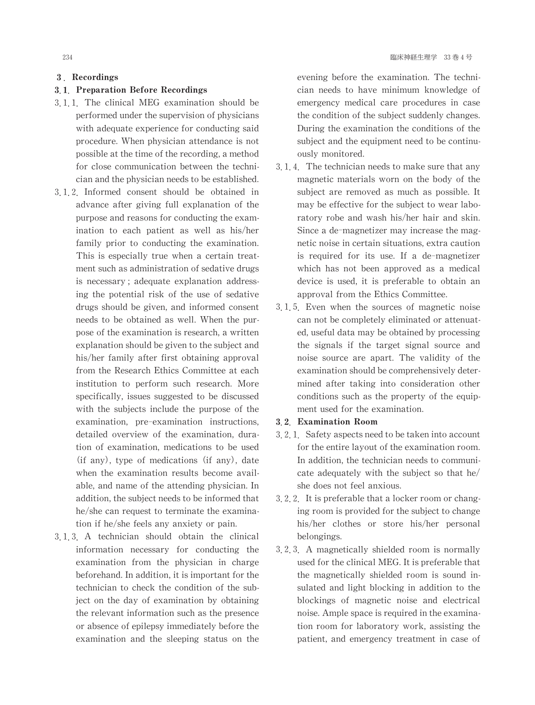### 3. Recordings

### 3.1. Preparation Before Recordings

- 3.1.1. The clinical MEG examination should be performed under the supervision of physicians with adequate experience for conducting said procedure.When physician attendance is not possible at the time of the recording, a method for close communication between the technician and the physician needs to be established.
- 3 1 2 Informed consent should be obtained in advance after giving full explanation of the purpose and reasons for conducting the examination to each patient as well as his/her family prior to conducting the examination. This is especially true when a certain treatment such as administration of sedative drugs is necessary; adequate explanation addressing the potential risk of the use of sedative drugs should be given, and informed consent needs to be obtained as well. When the purpose of the examination is research, a written explanation should be given to the subject and his/her family after first obtaining approval from the Research Ethics Committee at each institution to perform such research. More specifically, issues suggested to be discussed with the subjects include the purpose of the examination, pre-examination instructions, detailed overview of the examination, duration of examination, medications to be used  $(if any)$ , type of medications  $(if any)$ , date when the examination results become available, and name of the attending physician. In addition, the subject needs to be informed that he/she can request to terminate the examination if he/she feels any anxiety or pain.
- 3 1 3 A technician should obtain the clinical information necessary for conducting the examination from the physician in charge beforehand. In addition, it is important for the technician to check the condition of the subject on the day of examination by obtaining the relevant information such as the presence or absence of epilepsy immediately before the examination and the sleeping status on the

evening before the examination. The technician needs to have minimum knowledge of emergency medical care procedures in case the condition of the subject suddenly changes. During the examination the conditions of the subject and the equipment need to be continuouslymonitored.

- 3.1.4. The technician needs to make sure that any magnetic materials worn on the body of the subject are removed as much as possible. It may be effective for the subject to wear laboratory robe and wash his/her hair and skin. Since a de-magnetizer may increase the magnetic noise in certain situations, extra caution is required for its use. If a de-magnetizer which has not been approved as a medical device is used, it is preferable to obtain an approval from the Ethics Committee.
- 3 1 5 Even when the sources of magnetic noise can not be completely eliminated or attenuated, useful data may be obtained by processing the signals if the target signal source and noise source are apart. The validity of the examination should be comprehensively determined after taking into consideration other conditions such as the property of the equipment used for the examination.

### 3 2 Examination Room

- 3.2.1. Safety aspects need to be taken into account for the entire layout of the examination room. In addition, the technician needs to communicate adequately with the subject so that he/ she does not feel anxious.
- 3.2.2. It is preferable that a locker room or changing room is provided for the subject to change his/her clothes or store his/her personal belongings.
- 3 2 3 A magnetically shielded room is normally used for the clinical MEG. It is preferable that the magnetically shielded room is sound insulated and light blocking in addition to the blockings of magnetic noise and electrical noise. Ample space is required in the examination room for laboratory work, assisting the patient, and emergency treatment in case of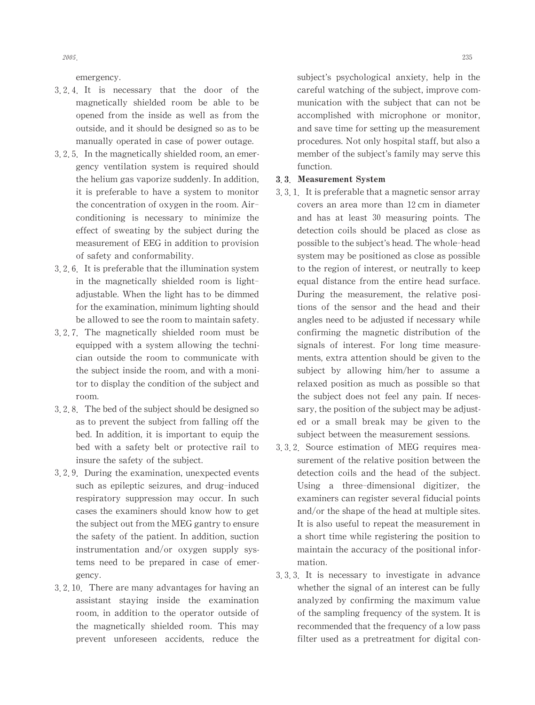emergency.

- 3 2 4 It is necessary that the door of the magnetically shielded room be able to be opened from the inside as well as from the outside, and it should be designed so as to be manually operated in case of power outage.
- 3, 2, 5. In the magnetically shielded room, an emergency ventilation system is required should the helium gas vaporize suddenly. In addition, it is preferable to have a system to monitor the concentration of oxygen in the room. Airconditioning is necessary to minimize the effect of sweating by the subject during the measurement of EEG in addition to provision of safety and conformability.
- $3.2.6$ . It is preferable that the illumination system in the magnetically shielded room is lightadjustable.When the light has to be dimmed for the examination, minimum lighting should be allowed to see the room to maintain safety.
- 3 2 7 The magnetically shielded room must be equipped with a system allowing the technician outside the room to communicate with the subject inside the room, and with a monitor to display the condition of the subject and room.
- 3, 2, 8. The bed of the subject should be designed so as to prevent the subject from falling off the bed. In addition, it is important to equip the bed with a safety belt or protective rail to insure the safety of the subject.
- 3.2.9. During the examination, unexpected events such as epileptic seizures, and drug-induced respiratory suppression may occur. In such cases the examiners should know how to get the subject out from the MEG gantry to ensure the safety of the patient. In addition, suction instrumentation and/or oxygen supply systems need to be prepared in case of emergency.
- 3.2.10. There are many advantages for having an assistant staying inside the examination room, in addition to the operator outside of the magnetically shielded room. This may prevent unforeseen accidents, reduce the

subject's psychological anxiety, help in the careful watching of the subject, improve communication with the subject that can not be accomplished with microphone or monitor, and save time for setting up the measurement procedures. Not only hospital staff, but also a member of the subject's family may serve this function.

### 3.3. Measurement System

- 3, 3, 1. It is preferable that a magnetic sensor array covers an area more than 12cm in diameter and has at least 30 measuring points. The detection coils should be placed as close as possible to the subject's head. The whole-head system may be positioned as close as possible to the region of interest, or neutrally to keep equal distance from the entire head surface. During the measurement, the relative positions of the sensor and the head and their angles need to be adjusted if necessary while confirming the magnetic distribution of the signals of interest. For long time measurements, extra attention should be given to the subject by allowing him/her to assume a relaxed position as much as possible so that the subject does not feel any pain. If necessary, the position of the subject may be adjusted or a small break may be given to the subject between the measurement sessions.
- 3 3 2 Source estimation of MEG requires measurement of the relative position between the detection coils and the head of the subject. Using a three-dimensional digitizer, the examiners can register several fiducial points and/or the shape of the head at multiple sites. It is also useful to repeat the measurement in a short time while registering the position to maintain the accuracy of the positional information.
- 3 3 3 It is necessary to investigate in advance whether the signal of an interest can be fully analyzed by confirming the maximum value of the sampling frequency of the system. It is recommended that the frequency of a low pass filter used as a pretreatment for digital con-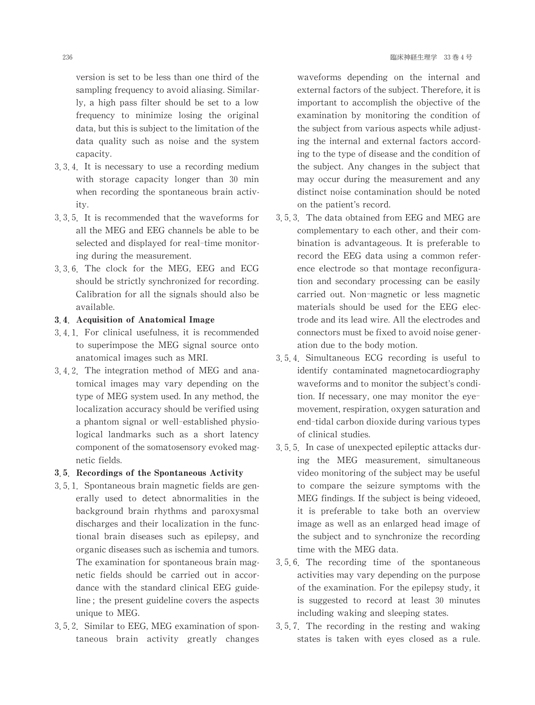version is set to be less than one third of the sampling frequency to avoid aliasing. Similarly, a high pass filter should be set to a low frequency to minimize losing the original data, but this is subject to the limitation of the data quality such as noise and the system capacity.

- 3 3 4 It is necessary to use a recording medium with storage capacity longer than 30 min when recording the spontaneous brain activity.
- 3 3 5 It is recommended that the waveforms for all the MEG and EEG channels be able to be selected and displayed for real-time monitoring during the measurement.
- 3 3 6 The clock for the MEG, EEG and ECG should be strictly synchronized for recording. Calibration for all the signals should also be available.

### 3.4. Acquisition of Anatomical Image

- 3 4 1 For clinical usefulness, it is recommended to superimpose the MEG signal source onto anatomical images such as MRI.
- 3 4 2 The integration method of MEG and anatomical images may vary depending on the type of MEG system used. In any method, the localization accuracy should be verified using a phantom signal or well-established physiological landmarks such as a short latency component of the somatosensory evoked magnetic fields.

### 3.5. Recordings of the Spontaneous Activity

- 3 5 1 Spontaneous brain magnetic fields are generally used to detect abnormalities in the background brain rhythms and paroxysmal discharges and their localization in the functional brain diseases such as epilepsy, and organic diseases such as ischemia and tumors. The examination for spontaneous brain magnetic fields should be carried out in accordance with the standard clinical EEG guideline; the present guideline covers the aspects unique to MEG.
- 3.5.2. Similar to EEG, MEG examination of spontaneous brain activity greatly changes

waveforms depending on the internal and external factors of the subject. Therefore, it is important to accomplish the objective of the examination by monitoring the condition of the subject from various aspects while adjusting the internal and external factors according to the type of disease and the condition of the subject. Any changes in the subject that may occur during the measurement and any distinct noise contamination should be noted on the patient's record.

- 3, 5, 3. The data obtained from EEG and MEG are complementary to each other, and their combination is advantageous. It is preferable to record the EEG data using a common reference electrode so that montage reconfiguration and secondary processing can be easily carried out. Non-magnetic or less magnetic materials should be used for the EEG electrode and its lead wire. All the electrodes and connectors must be fixed to avoid noise generation due to the body motion.
- 3 5 4 Simultaneous ECG recording is useful to identify contaminated magnetocardiography waveforms and to monitor the subject's condition. If necessary, one may monitor the eyemovement, respiration, oxygen saturation and end-tidal carbon dioxide during various types of clinical studies.
- 3, 5, 5. In case of unexpected epileptic attacks during the MEG measurement, simultaneous video monitoring of the subject may be useful to compare the seizure symptoms with the MEG findings. If the subject is being videoed, it is preferable to take both an overview image as well as an enlarged head image of the subject and to synchronize the recording time with the MEG data.
- 3 5 6 The recording time of the spontaneous activities may vary depending on the purpose of the examination. For the epilepsy study, it is suggested to record at least 30 minutes including waking and sleeping states.
- 3 5 7 The recording in the resting and waking states is taken with eyes closed as a rule.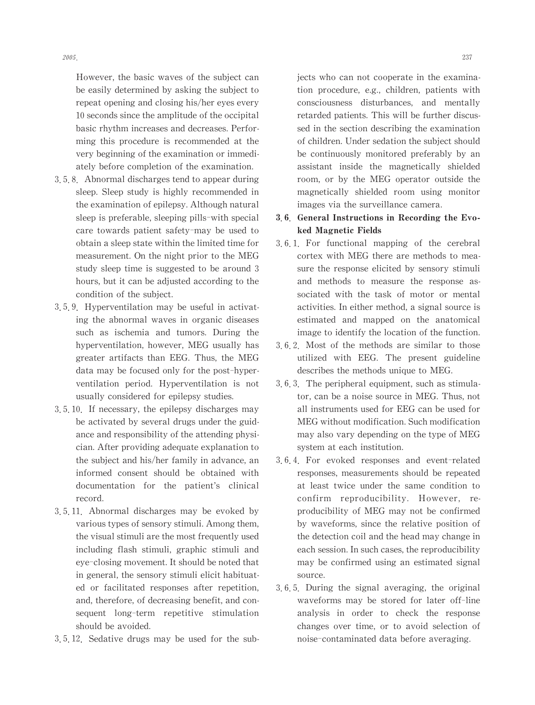However, the basic waves of the subject can be easily determined by asking the subject to repeat opening and closing his/her eyes every 10 seconds since the amplitude of the occipital basic rhythm increases and decreases. Performing this procedure is recommended at the very beginning of the examination or immediately before completion of the examination.

- 3 5 8 Abnormal discharges tend to appear during sleep. Sleep study is highly recommended in the examination of epilepsy. Although natural sleep is preferable, sleeping pills-with special care towards patient safety-may be used to obtain a sleep state within the limited time for measurement.On the night prior to the MEG study sleep time is suggested to be around 3 hours, but it can be adjusted according to the condition of the subject.
- 3 5 9 Hyperventilation may be useful in activating the abnormal waves in organic diseases such as ischemia and tumors. During the hyperventilation, however, MEG usually has greater artifacts than EEG. Thus, the MEG data may be focused only for the post-hyperventilation period. Hyperventilation is not usually considered for epilepsy studies.
- 3 5 10 If necessary, the epilepsy discharges may be activated by several drugs under the guidance and responsibility of the attending physician. After providing adequate explanation to the subject and his/her family in advance, an informed consent should be obtained with documentation for the patient's clinical record.
- 3 5 11 Abnormal discharges may be evoked by various types of sensory stimuli. Among them, the visual stimuli are the most frequently used including flash stimuli, graphic stimuli and eye-closing movement. It should be noted that in general, the sensory stimuli elicit habituated or facilitated responses after repetition, and, therefore, of decreasing benefit, and consequent long-term repetitive stimulation should be avoided.
- 3 5 12 Sedative drugs may be used for the sub-

jects who can not cooperate in the examination procedure, e.g., children, patients with consciousness disturbances, and mentally retarded patients.This will be further discussed in the section describing the examination of children. Under sedation the subject should be continuously monitored preferably by an assistant inside the magnetically shielded room, or by the MEG operator outside the magnetically shielded room using monitor images via the surveillance camera.

- 3.6. General Instructions in Recording the Evoked Magnetic Fields
- 3 6 1 For functional mapping of the cerebral cortex with MEG there are methods to measure the response elicited by sensory stimuli and methods to measure the response associated with the task of motor or mental activities. In either method, a signal source is estimated and mapped on the anatomical image to identify the location of the function.
- 3 6 2 Most of the methods are similar to those utilized with EEG. The present guideline describes the methods unique to MEG.
- $3, 6, 3$ . The peripheral equipment, such as stimulator, can be a noise source in MEG. Thus, not all instruments used for EEG can be used for MEG without modification. Such modification may also vary depending on the type of MEG system at each institution.
- 3 6 4 For evoked responses and event-related responses, measurements should be repeated at least twice under the same condition to confirm reproducibility. However, reproducibility of MEG may not be confirmed by waveforms, since the relative position of the detection coil and the head may change in each session. In such cases, the reproducibility may be confirmed using an estimated signal source.
- 3 6 5 During the signal averaging, the original waveforms may be stored for later off-line analysis in order to check the response changes over time, or to avoid selection of noise-contaminated data before averaging.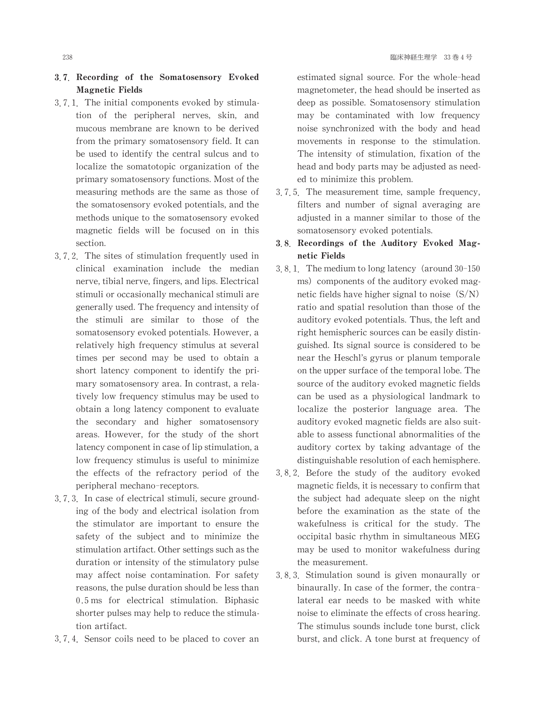### 3.7 Recording of the Somatosensory Evoked Magnetic Fields

- 3.7.1. The initial components evoked by stimulation of the peripheral nerves, skin, and mucous membrane are known to be derived from the primary somatosensory field. It can be used to identify the central sulcus and to localize the somatotopic organization of the primary somatosensory functions. Most of the measuring methods are the same as those of the somatosensory evoked potentials, and the methods unique to the somatosensory evoked magnetic fields will be focused on in this section.
- 3 7 2 The sites of stimulation frequently used in clinical examination include the median nerve, tibial nerve, fingers, and lips. Electrical stimuli or occasionally mechanical stimuli are generally used. The frequency and intensity of the stimuli are similar to those of the somatosensory evoked potentials. However, a relatively high frequency stimulus at several times per second may be used to obtain a short latency component to identify the primary somatosensory area. In contrast, a relatively low frequency stimulus may be used to obtain a long latency component to evaluate the secondary and higher somatosensory areas. However, for the study of the short latency component in case of lip stimulation, a low frequency stimulus is useful to minimize the effects of the refractory period of the peripheral mechano-receptors.
- 3.7.3. In case of electrical stimuli, secure grounding of the body and electrical isolation from the stimulator are important to ensure the safety of the subject and to minimize the stimulation artifact. Other settings such as the duration or intensity of the stimulatory pulse may affect noise contamination. For safety reasons, the pulse duration should be less than 0.5ms for electrical stimulation. Biphasic shorter pulses may help to reduce the stimulation artifact.
- 3 7 4 Sensor coils need to be placed to cover an

estimated signal source. For the whole-head magnetometer, the head should be inserted as deep as possible. Somatosensory stimulation may be contaminated with low frequency noise synchronized with the body and head movements in response to the stimulation. The intensity of stimulation, fixation of the head and body parts may be adjusted as needed to minimize this problem.

3 7 5 The measurement time, sample frequency, filters and number of signal averaging are adjusted in a manner similar to those of the somatosensory evoked potentials.

### 3.8. Recordings of the Auditory Evoked Magnetic Fields

- 3.8.1. The medium to long latency (around  $30-150$ ms) components of the auditory evoked magnetic fields have higher signal to noise  $(S/N)$ ratio and spatial resolution than those of the auditory evoked potentials. Thus, the left and right hemispheric sources can be easily distinguished. Its signal source is considered to be near the Heschl's gyrus or planum temporale on the upper surface of the temporal lobe. The source of the auditory evoked magnetic fields can be used as a physiological landmark to localize the posterior language area. The auditory evoked magnetic fields are also suitable to assess functional abnormalities of the auditory cortex by taking advantage of the distinguishable resolution of each hemisphere.
- 3 8 2 Before the study of the auditory evoked magnetic fields, it is necessary to confirm that the subject had adequate sleep on the night before the examination as the state of the wakefulness is critical for the study. The occipital basic rhythm in simultaneous MEG may be used to monitor wakefulness during the measurement.
- 3 8 3 Stimulation sound is given monaurally or binaurally. In case of the former, the contralateral ear needs to be masked with white noise to eliminate the effects of cross hearing. The stimulus sounds include tone burst, click burst, and click. A tone burst at frequency of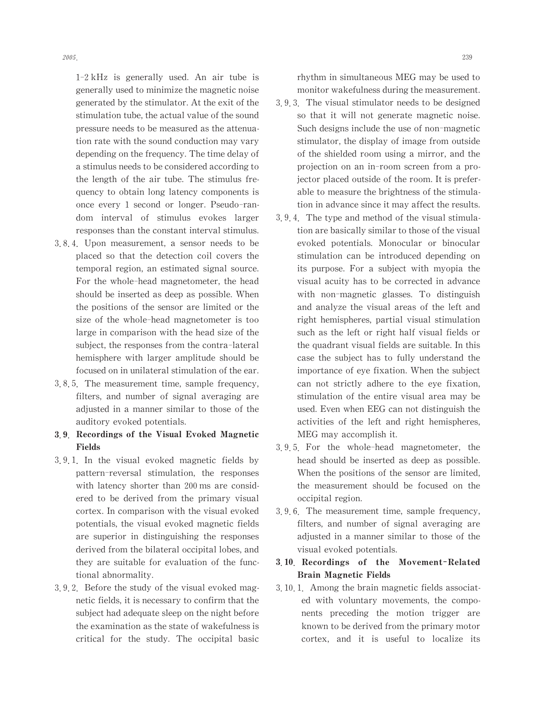1-2kHz is generally used. An air tube is generally used to minimize the magnetic noise generated by the stimulator. At the exit of the stimulation tube, the actual value of the sound pressure needs to be measured as the attenuation rate with the sound conduction may vary depending on the frequency. The time delay of a stimulus needs to be considered according to the length of the air tube. The stimulus frequency to obtain long latency components is once every 1 second or longer. Pseudo-random interval of stimulus evokes larger responses than the constant interval stimulus.

- 3 8 4 Upon measurement, a sensor needs to be placed so that the detection coil covers the temporal region, an estimated signal source. For the whole-head magnetometer, the head should be inserted as deep as possible.When the positions of the sensor are limited or the size of the whole-head magnetometer is too large in comparison with the head size of the subject, the responses from the contra-lateral hemisphere with larger amplitude should be focused on in unilateral stimulation of the ear.
- 3 8 5 The measurement time, sample frequency, filters, and number of signal averaging are adjusted in a manner similar to those of the auditory evoked potentials.
- 쏛쏡 Recordings of the Visual Evoked Magnetic Fields
- 3 9 1 In the visual evoked magnetic fields by pattern-reversal stimulation, the responses with latency shorter than 200 ms are considered to be derived from the primary visual cortex.In comparison with the visual evoked potentials, the visual evoked magnetic fields are superior in distinguishing the responses derived from the bilateral occipital lobes, and they are suitable for evaluation of the functional abnormality.
- 3 9 2 Before the study of the visual evoked magnetic fields, it is necessary to confirm that the subject had adequate sleep on the night before the examination as the state of wakefulness is critical for the study. The occipital basic

rhythm in simultaneous MEG maybe used to monitor wakefulness during the measurement.

- 3 9 3 The visual stimulator needs to be designed so that it will not generate magnetic noise. Such designs include the use of non-magnetic stimulator, the display of image from outside of the shielded room using a mirror, and the projection on an in-room screen from a projector placed outside of the room. It is preferable to measure the brightness of the stimulation in advance since it may affect the results.
- 3.9.4. The type and method of the visual stimulation are basically similar to those of the visual evoked potentials. Monocular or binocular stimulation can be introduced depending on its purpose. For a subject with myopia the visual acuity has to be corrected in advance with non-magnetic glasses. To distinguish and analyze the visual areas of the left and right hemispheres, partial visual stimulation such as the left or right half visual fields or the quadrant visual fields are suitable. In this case the subject has to fully understand the importance of eye fixation. When the subject can not strictly adhere to the eye fixation, stimulation of the entire visual area may be used. Even when EEG can not distinguish the activities of the left and right hemispheres, MEG may accomplish it.
- 3 9 5 For the whole-head magnetometer, the head should be inserted as deep as possible. When the positions of the sensor are limited, the measurement should be focused on the occipital region.
- 3 9 6 The measurement time, sample frequency, filters, and number of signal averaging are adjusted in a manner similar to those of the visual evoked potentials.

# 3.10. Recordings of the Movement-Related Brain Magnetic Fields

3 10 1 Among the brain magnetic fields associated with voluntary movements, the components preceding the motion trigger are known to be derived from the primary motor cortex, and it is useful to localize its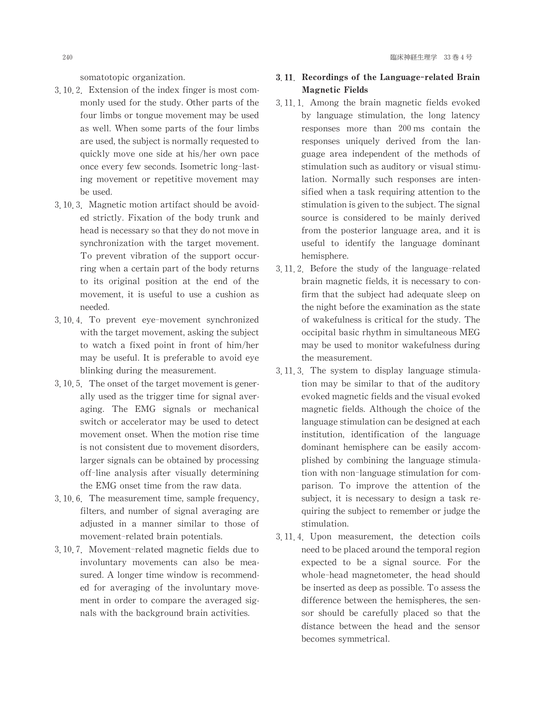somatotopic organization.

- 3.10.2. Extension of the index finger is most commonly used for the study. Other parts of the four limbs or tongue movement may be used as well.When some parts of the four limbs are used, the subject is normally requested to quickly move one side at his/her own pace once every few seconds. Isometric long-lasting movement or repetitive movement may be used.
- $3, 10, 3$ . Magnetic motion artifact should be avoided strictly. Fixation of the body trunk and head is necessary so that they do not move in synchronization with the target movement. To prevent vibration of the support occurring when a certain part of the body returns to its original position at the end of the movement, it is useful to use a cushion as needed.
- 3 10 4 To prevent eye-movement synchronized with the target movement, asking the subject to watch a fixed point in front of him/her may be useful. It is preferable to avoid eye blinking during the measurement.
- $3, 10, 5$ . The onset of the target movement is generally used as the trigger time for signal averaging. The EMG signals or mechanical switch or accelerator may be used to detect movement onset.When the motion rise time is not consistent due to movement disorders, larger signals can be obtained by processing off-line analysis after visually determining the EMG onset time from the raw data.
- 3, 10, 6. The measurement time, sample frequency, filters, and number of signal averaging are adjusted in a manner similar to those of movement-related brain potentials.
- 3 10 7 Movement-related magnetic fields due to involuntary movements can also be measured. A longer time window is recommended for averaging of the involuntary movement in order to compare the averaged signals with the background brain activities.

# 3.11 Recordings of the Language-related Brain Magnetic Fields

- 3 11 1 Among the brain magnetic fields evoked by language stimulation, the long latency responses more than 200ms contain the responses uniquely derived from the language area independent of the methods of stimulation such as auditory or visual stimulation. Normally such responses are intensified when a task requiring attention to the stimulation is given to the subject. The signal source is considered to be mainly derived from the posterior language area, and it is useful to identify the language dominant hemisphere.
- 3.11.2. Before the study of the language-related brain magnetic fields, it is necessary to confirm that the subject had adequate sleep on the night before the examination as the state of wakefulness is critical for the study. The occipital basic rhythm in simultaneous MEG may be used to monitor wakefulness during the measurement.
- 3 11 3 The system to display language stimulation may be similar to that of the auditory evoked magnetic fields and the visual evoked magnetic fields. Although the choice of the language stimulation can be designed at each institution, identification of the language dominant hemisphere can be easily accomplished by combining the language stimulation with non-language stimulation for comparison. To improve the attention of the subject, it is necessary to design a task requiring the subject to remember or judge the stimulation.
- 3 11 4 Upon measurement, the detection coils need to be placed around the temporal region expected to be a signal source. For the whole-head magnetometer, the head should be inserted as deep as possible. To assess the difference between the hemispheres, the sensor should be carefully placed so that the distance between the head and the sensor becomes symmetrical.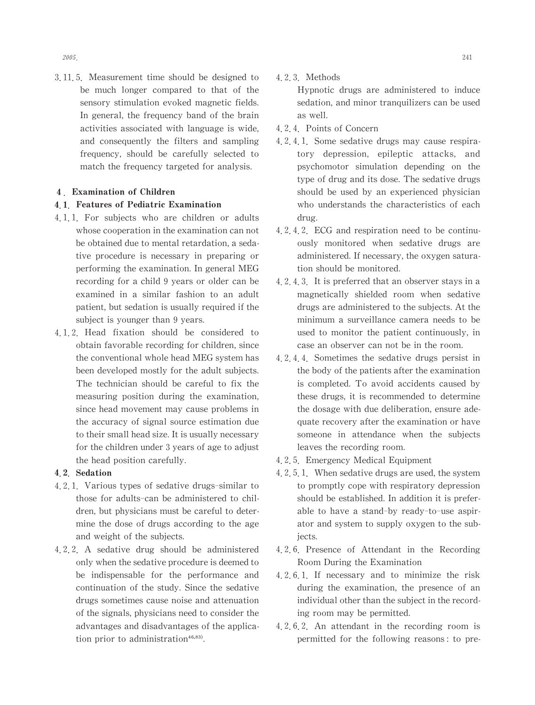3 11 5 Measurement time should be designed to be much longer compared to that of the sensory stimulation evoked magnetic fields. In general, the frequency band of the brain activities associated with language is wide, and consequently the filters and sampling frequency, should be carefully selected to match the frequency targeted for analysis.

### 4. Examination of Children

### 4.1. Features of Pediatric Examination

- 4.1.1. For subjects who are children or adults whose cooperation in the examination can not be obtained due to mental retardation, a sedative procedure is necessary in preparing or performing the examination.In general MEG recording for a child 9 years or older can be examined in a similar fashion to an adult patient, but sedation is usually required if the subject is younger than 9 years.
- 4 1 2 Head fixation should be considered to obtain favorable recording for children, since the conventional whole head MEG system has been developed mostly for the adult subjects. The technician should be careful to fix the measuring position during the examination, since head movement may cause problems in the accuracy of signal source estimation due to their small head size. It is usually necessary for the children under 3 years of age to adjust the head position carefully.

### 4.2. Sedation

- 4 2 1 Various types of sedative drugs-similar to those for adults-can be administered to children, but physicians must be careful to determine the dose of drugs according to the age and weight of the subjects.
- 4 2 2 A sedative drug should be administered only when the sedative procedure is deemed to be indispensable for the performance and continuation of the study. Since the sedative drugs sometimes cause noise and attenuation of the signals, physicians need to consider the advantages and disadvantages of the application prior to administration $46,83$ .

4 2 3 Methods

Hypnotic drugs are administered to induce sedation, and minor tranquilizers can be used as well.

- 4 2 4 Points of Concern
- 4 2 4 1 Some sedative drugs may cause respiratory depression, epileptic attacks, and psychomotor simulation depending on the type of drug and its dose. The sedative drugs should be used by an experienced physician who understands the characteristics of each drug.
- 4 2 4 2 ECG and respiration need to be continuously monitored when sedative drugs are administered. If necessary, the oxygen saturation should be monitored.
- 4 2 4 3 It is preferred that an observer stays in a magnetically shielded room when sedative drugs are administered to the subjects. At the minimum a surveillance camera needs to be used to monitor the patient continuously, in case an observer can not be in the room.
- 4 2 4 4 Sometimes the sedative drugs persist in the body of the patients after the examination is completed. To avoid accidents caused by these drugs, it is recommended to determine the dosage with due deliberation, ensure adequate recovery after the examination or have someone in attendance when the subjects leaves the recording room.
- 4.2.5. Emergency Medical Equipment
- 4.2.5.1. When sedative drugs are used, the system to promptly cope with respiratory depression should be established.In addition it is preferable to have a stand-by ready-to-use aspirator and system to supply oxygen to the subjects.
- 4 2 6 Presence of Attendant in the Recording Room During the Examination
- 4 2 6 1 If necessary and to minimize the risk during the examination, the presence of an individual other than the subject in the recording room may be permitted.
- 4 2 6 2 An attendant in the recording room is permitted for the following reasons: to pre-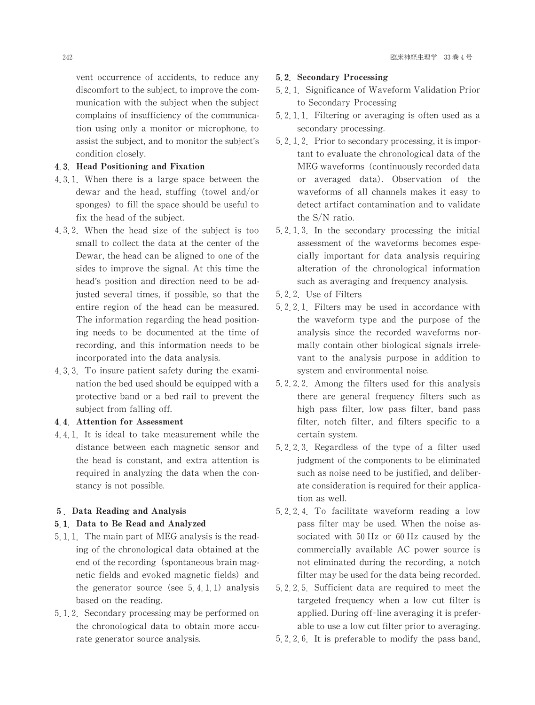vent occurrence of accidents, to reduce any discomfort to the subject, to improve the communication with the subject when the subject complains of insufficiency of the communication using only a monitor or microphone, to assist the subject, and to monitor the subject's condition closely.

### 4.3. Head Positioning and Fixation

- 4.3.1. When there is a large space between the dewar and the head, stuffing (towel and/or sponges) to fill the space should be useful to fix the head of the subject.
- 4 3 2 When the head size of the subject is too small to collect the data at the center of the Dewar, the head can be aligned to one of the sides to improve the signal. At this time the head's position and direction need to be adjusted several times, if possible, so that the entire region of the head can be measured. The information regarding the head positioning needs to be documented at the time of recording, and this information needs to be incorporated into the data analysis.
- 4, 3, 3. To insure patient safety during the examination the bed used should be equipped with a protective band or a bed rail to prevent the subject from falling off.

### 4.4. Attention for Assessment

4 4 1 It is ideal to take measurement while the distance between each magnetic sensor and the head is constant, and extra attention is required in analyzing the data when the constancy is not possible.

#### 5. Data Reading and Analysis

### 5.1 Data to Be Read and Analyzed

- 5, 1, 1. The main part of MEG analysis is the reading of the chronological data obtained at the end of the recording (spontaneous brain magnetic fields and evoked magnetic fields) and the generator source (see  $5, 4, 1, 1$ ) analysis based on the reading.
- 5, 1, 2. Secondary processing may be performed on the chronological data to obtain more accurate generator source analysis.

#### 5.2 Secondary Processing

- 5.2.1 Significance of Waveform Validation Prior to Secondary Processing
- 5 2 1 1 Filtering or averaging is often used as a secondary processing.
- 5, 2, 1, 2. Prior to secondary processing, it is important to evaluate the chronological data of the MEG waveforms (continuously recorded data or averaged data). Observation of the waveforms of all channels makes it easy to detect artifact contamination and to validate the S/N ratio.
- 5 2 1 3 In the secondary processing the initial assessment of the waveforms becomes especially important for data analysis requiring alteration of the chronological information such as averaging and frequency analysis.
- 5 2 2 Use of Filters
- 5 2 2 1 Filters may be used in accordance with the waveform type and the purpose of the analysis since the recorded waveforms normally contain other biological signals irrelevant to the analysis purpose in addition to system and environmental noise.
- 5 2 2 2 Among the filters used for this analysis there are general frequency filters such as high pass filter, low pass filter, band pass filter, notch filter, and filters specific to a certain system.
- 5 2 2 3 Regardless of the type of a filter used judgment of the components to be eliminated such as noise need to be justified, and deliberate consideration is required for their application as well.
- 5 2 2 4 To facilitate waveform reading a low pass filter may be used. When the noise associated with 50Hz or 60Hz caused by the commercially available AC power source is not eliminated during the recording, a notch filter may be used for the data being recorded.
- 5 2 2 5 Sufficient data are required to meet the targeted frequency when a low cut filter is applied. During off-line averaging it is preferable to use a low cut filter prior to averaging.
- 5 2 2 6 It is preferable to modify the pass band,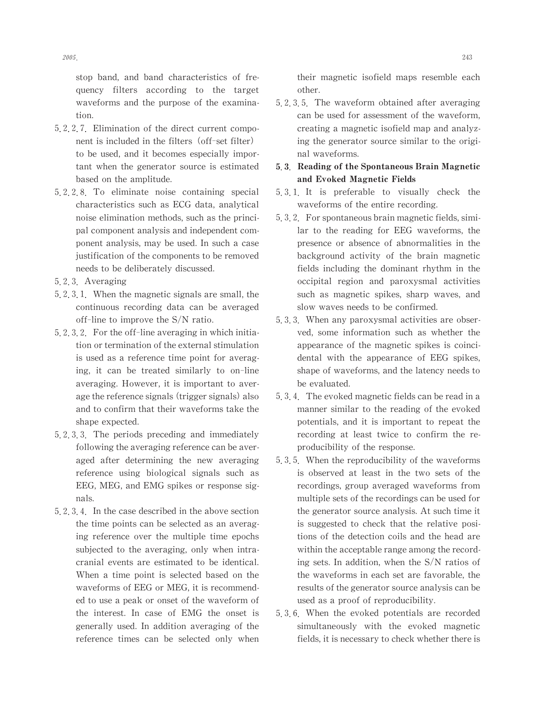stop band, and band characteristics of frequency filters according to the target waveforms and the purpose of the examination.

- 5 2 2 7 Elimination of the direct current component is included in the filters (off-set filter) to be used, and it becomes especially important when the generator source is estimated based on the amplitude.
- 5 2 2 8 To eliminate noise containing special characteristics such as ECG data, analytical noise elimination methods, such as the principal component analysis and independent component analysis, may be used. In such a case justification of the components to be removed needs to be deliberately discussed.
- 5 2 3 Averaging
- 5 2 3 1. When the magnetic signals are small, the continuous recording data can be averaged off-line to improve the S/N ratio.
- $5, 2, 3, 2$ . For the off-line averaging in which initiation or termination of the external stimulation is used as a reference time point for averaging, it can be treated similarly to on-line averaging. However, it is important to average the reference signals (trigger signals) also and to confirm that their waveforms take the shape expected.
- 5 2 3 3 The periods preceding and immediately following the averaging reference can be averaged after determining the new averaging reference using biological signals such as EEG, MEG, and EMG spikes or response signals.
- 5, 2, 3, 4. In the case described in the above section the time points can be selected as an averaging reference over the multiple time epochs subjected to the averaging, only when intracranial events are estimated to be identical. When a time point is selected based on the waveforms of EEG or MEG, it is recommended to use a peak or onset of the waveform of the interest. In case of EMG the onset is generally used. In addition averaging of the reference times can be selected only when

their magnetic isofield maps resemble each other.

5 2 3 5 The waveform obtained after averaging can be used for assessment of the waveform, creating a magnetic isofield map and analyzing the generator source similar to the original waveforms.

## 5.3 Reading of the Spontaneous Brain Magnetic and Evoked Magnetic Fields

- 5 3 1 It is preferable to visually check the waveforms of the entire recording.
- 5, 3, 2. For spontaneous brain magnetic fields, similar to the reading for EEG waveforms, the presence or absence of abnormalities in the background activity of the brain magnetic fields including the dominant rhythm in the occipital region and paroxysmal activities such as magnetic spikes, sharp waves, and slow waves needs to be confirmed.
- 5 3 3 When any paroxysmal activities are observed, some information such as whether the appearance of the magnetic spikes is coincidental with the appearance of EEG spikes, shape of waveforms, and the latency needs to be evaluated.
- 5, 3, 4. The evoked magnetic fields can be read in a manner similar to the reading of the evoked potentials, and it is important to repeat the recording at least twice to confirm the reproducibility of the response.
- 5, 3, 5. When the reproducibility of the waveforms is observed at least in the two sets of the recordings, group averaged waveforms from multiple sets of the recordings can be used for the generator source analysis. At such time it is suggested to check that the relative positions of the detection coils and the head are within the acceptable range among the recording sets. In addition, when the  $S/N$  ratios of the waveforms in each set are favorable, the results of the generator source analysis can be used as a proof of reproducibility.
- 5 3 6 When the evoked potentials are recorded simultaneously with the evoked magnetic fields, it is necessary to check whether there is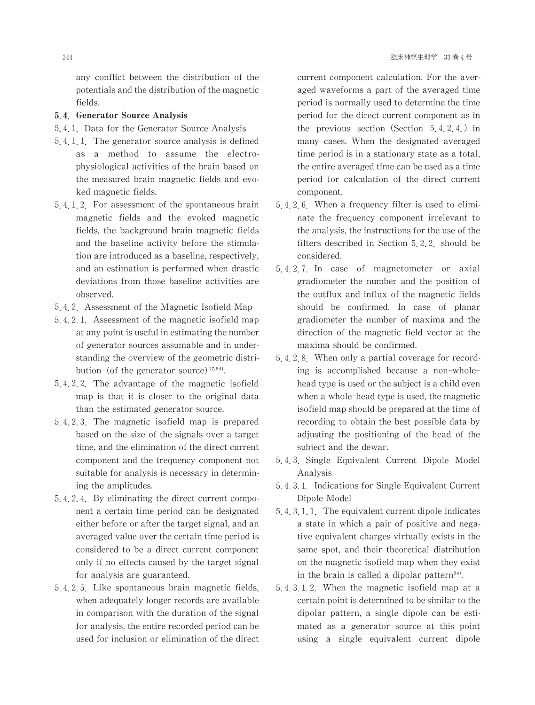any conflict between the distribution of the potentials and the distribution of the magnetic fields.

### 5.4. Generator Source Analysis

- 5 4 1 Data for the Generator Source Analysis
- 5 4 1 1 The generator source analysis is defined as a method to assume the electrophysiological activities of the brain based on the measured brain magnetic fields and evoked magnetic fields.
- 5 4 1 2 For assessment of the spontaneous brain magnetic fields and the evoked magnetic fields, the background brain magnetic fields and the baseline activity before the stimulation are introduced as a baseline, respectively, and an estimation is performed when drastic deviations from those baseline activities are observed.
- 5 4 2 Assessment of the Magnetic Isofield Map
- 5 4 2 1 Assessment of the magnetic isofield map at any point is useful in estimating the number of generator sources assumable and in understanding the overview of the geometric distribution (of the generator source) $17,94$ .
- 5 4 2 2 The advantage of the magnetic isofield map is that it is closer to the original data than the estimated generator source.
- 5 4 2 3 The magnetic isofield map is prepared based on the size of the signals over a target time, and the elimination of the direct current component and the frequency component not suitable for analysis is necessary in determining the amplitudes.
- 5 4 2 4 By eliminating the direct current component a certain time period can be designated either before or after the target signal, and an averaged value over the certain time period is considered to be a direct current component only if no effects caused by the target signal for analysis are guaranteed.
- 5 4 2 5 Like spontaneous brain magnetic fields, when adequately longer records are available in comparison with the duration of the signal for analysis, the entire recorded period can be used for inclusion or elimination of the direct

current component calculation. For the averaged waveforms a part of the averaged time period is normally used to determine the time period for the direct current component as in the previous section (Section  $5, 4, 2, 4$ .) in many cases. When the designated averaged time period is in a stationary state as a total, the entire averaged time can be used as a time period for calculation of the direct current component.

- 5 4 2 6 When a frequency filter is used to eliminate the frequency component irrelevant to the analysis, the instructions for the use of the filters described in Section 5 2 2 should be considered.
- 5 4 2 7 In case of magnetometer or axial gradiometer the number and the position of the outflux and influx of the magnetic fields should be confirmed. In case of planar gradiometer the number of maxima and the direction of the magnetic field vector at the maxima should be confirmed.
- 5.4.2.8 When only a partial coverage for recording is accomplished because a non-wholehead type is used or the subject is a child even when a whole-head type is used, the magnetic isofield map should be prepared at the time of recording to obtain the best possible data by adjusting the positioning of the head of the subject and the dewar.
- 5 4 3 Single Equivalent Current Dipole Model Analysis
- 5.4.3.1 Indications for Single Equivalent Current Dipole Model
- $5, 4, 3, 1, 1$ . The equivalent current dipole indicates a state in which a pair of positive and negative equivalent charges virtually exists in the same spot, and their theoretical distribution on the magnetic isofield map when they exist in the brain is called a dipolar pattern $94$ .
- 5 4 3 1 2 When the magnetic isofield map at a certain point is determined to be similar to the dipolar pattern, a single dipole can be estimated as a generator source at this point using a single equivalent current dipole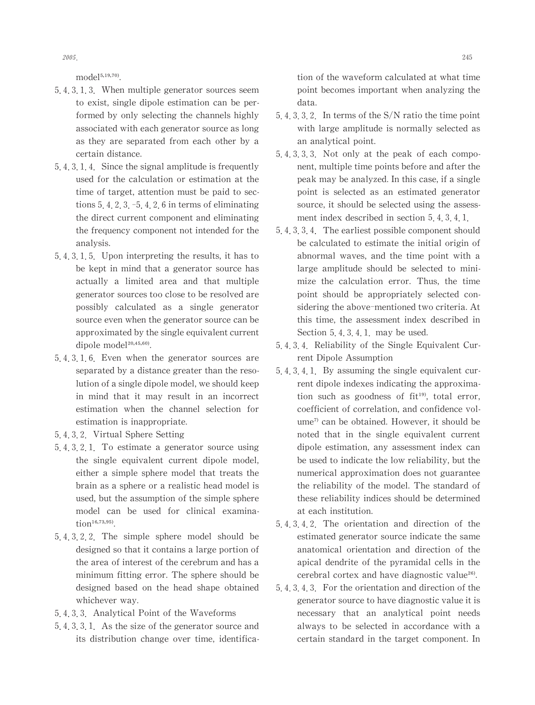$model<sup>5,19,70</sup>$ .

- 5 4 3 1 3 When multiple generator sources seem to exist, single dipole estimation can be performed by only selecting the channels highly associated with each generator source as long as they are separated from each other by a certain distance.
- $5, 4, 3, 1, 4$ . Since the signal amplitude is frequently used for the calculation or estimation at the time of target, attention must be paid to sections  $5, 4, 2, 3, -5, 4, 2, 6$  in terms of eliminating the direct current component and eliminating the frequency component not intended for the analysis.
- 5 4 3 1 5 Upon interpreting the results, it has to be kept in mind that a generator source has actually a limited area and that multiple generator sources too close to be resolved are possibly calculated as a single generator source even when the generator source can be approximated by the single equivalent current dipole model<sup>20,45,60)</sup>.
- 5 4 3 1 6 Even when the generator sources are separated by a distance greater than the resolution of a single dipole model, we should keep in mind that it may result in an incorrect estimation when the channel selection for estimation is inappropriate.
- 5 4 3 2 Virtual Sphere Setting
- 5 4 3 2 1 To estimate a generator source using the single equivalent current dipole model, either a simple sphere model that treats the brain as a sphere or a realistic head model is used, but the assumption of the simple sphere model can be used for clinical examina- $\text{tion}^{16,73,95}$ .
- 5 4 3 2 2 The simple sphere model should be designed so that it contains a large portion of the area of interest of the cerebrum and has a minimum fitting error. The sphere should be designed based on the head shape obtained whichever way.
- 5 4 3 3 Analytical Point of the Waveforms
- 5, 4, 3, 3, 1. As the size of the generator source and its distribution change over time, identifica-

tion of the waveform calculated at what time point becomes important when analyzing the data.

- 5, 4, 3, 3, 2. In terms of the  $S/N$  ratio the time point with large amplitude is normally selected as an analytical point.
- 5 4 3 3 3 Not only at the peak of each component, multiple time points before and after the peak may be analyzed. In this case, if a single point is selected as an estimated generator source, it should be selected using the assessment index described in section 5, 4, 3, 4, 1,
- 5, 4, 3, 3, 4. The earliest possible component should be calculated to estimate the initial origin of abnormal waves, and the time point with a large amplitude should be selected to minimize the calculation error. Thus, the time point should be appropriately selected considering the above-mentioned two criteria. At this time, the assessment index described in Section  $5, 4, 3, 4, 1$  may be used.
- 5 4 3 4 Reliability of the Single Equivalent Current Dipole Assumption
- 5 4 3 4 1 By assuming the single equivalent current dipole indexes indicating the approximation such as goodness of  $fit^{19}$ , total error, coefficient of correlation, and confidence volume<sup>7)</sup> can be obtained. However, it should be noted that in the single equivalent current dipole estimation, any assessment index can be used to indicate the low reliability, but the numerical approximation does not guarantee the reliability of the model. The standard of these reliability indices should be determined at each institution.
- 5 4 3 4 2 The orientation and direction of the estimated generator source indicate the same anatomical orientation and direction of the apical dendrite of the pyramidal cells in the cerebral cortex and have diagnostic value<sup>26)</sup>.
- $5, 4, 3, 4, 3$ . For the orientation and direction of the generator source to have diagnostic value it is necessary that an analytical point needs always to be selected in accordance with a certain standard in the target component. In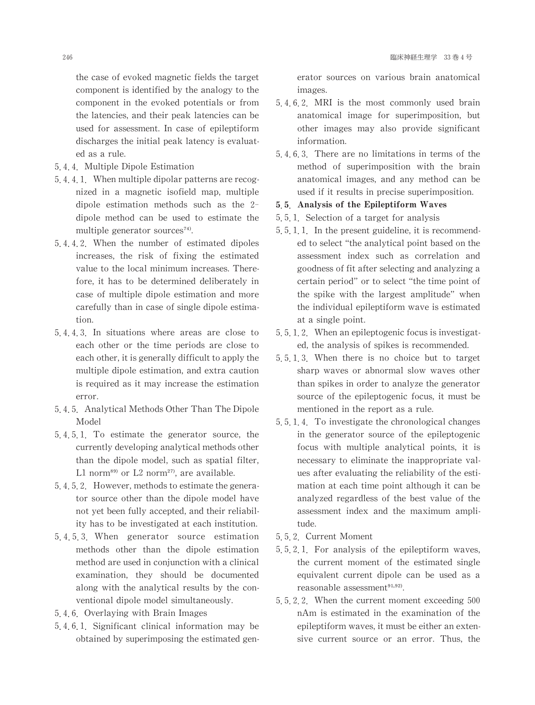the case of evoked magnetic fields the target component is identified by the analogy to the component in the evoked potentials or from the latencies, and their peak latencies can be used for assessment. In case of epileptiform discharges the initial peak latency is evaluated as a rule.

- 5 4 4 Multiple Dipole Estimation
- 5.4.4.1. When multiple dipolar patterns are recognized in a magnetic isofield map, multiple dipole estimation methods such as the 2 dipole method can be used to estimate the multiple generator sources<sup>74)</sup>.
- 5 4 4 2 When the number of estimated dipoles increases, the risk of fixing the estimated value to the local minimum increases.Therefore, it has to be determined deliberately in case of multiple dipole estimation and more carefully than in case of single dipole estimation.
- 5 4 4 3 In situations where areas are close to each other or the time periods are close to each other, it is generally difficult to apply the multiple dipole estimation, and extra caution is required as it may increase the estimation error.
- 5.4.5. Analytical Methods Other Than The Dipole Model
- 5 4 5 1 To estimate the generator source, the currently developing analytical methods other than the dipole model, such as spatial filter, L1 norm $89$  or L2 norm $27$ , are available.
- 5, 4, 5, 2. However, methods to estimate the generator source other than the dipole model have not yet been fully accepted, and their reliability has to be investigated at each institution.
- 5 4 5 3 When generator source estimation methods other than the dipole estimation method are used in conjunction with a clinical examination, they should be documented along with the analytical results by the conventional dipole model simultaneously.
- 5 4 6 Overlaying with Brain Images
- 5 4 6 1 Significant clinical information may be obtained by superimposing the estimated gen-

erator sources on various brain anatomical images.

- 5 4 6 2 MRI is the most commonly used brain anatomical image for superimposition, but other images may also provide significant information.
- 5 4 6 3 There are no limitations in terms of the method of superimposition with the brain anatomical images, and any method can be used if it results in precise superimposition.
- 5.5 Analysis of the Epileptiform Waves
- 5 5 1 Selection of a target for analysis
- $5, 5, 1, 1$ . In the present guideline, it is recommended to select "the analytical point based on the assessment index such as correlation and goodness of fit after selecting and analyzing a certain period" or to select "the time point of the spike with the largest amplitude" when the individual epileptiform wave is estimated at a single point.
- 5 5 1 2 When an epileptogenic focus is investigated, the analysis of spikes is recommended.
- 5 5 1 3 When there is no choice but to target sharp waves or abnormal slow waves other than spikes in order to analyze the generator source of the epileptogenic focus, it must be mentioned in the report as a rule.
- 5 5 1 4 To investigate the chronological changes in the generator source of the epileptogenic focus with multiple analytical points, it is necessary to eliminate the inappropriate values after evaluating the reliability of the estimation at each time point although it can be analyzed regardless of the best value of the assessment index and the maximum amplitude.
- 5 5 2 Current Moment
- 5 5 2 1 For analysis of the epileptiform waves, the current moment of the estimated single equivalent current dipole can be used as a reasonable assessment<sup>91,92)</sup>.
- 5 5 2 2 When the current moment exceeding 500 nAm is estimated in the examination of the epileptiform waves, it must be either an extensive current source or an error. Thus, the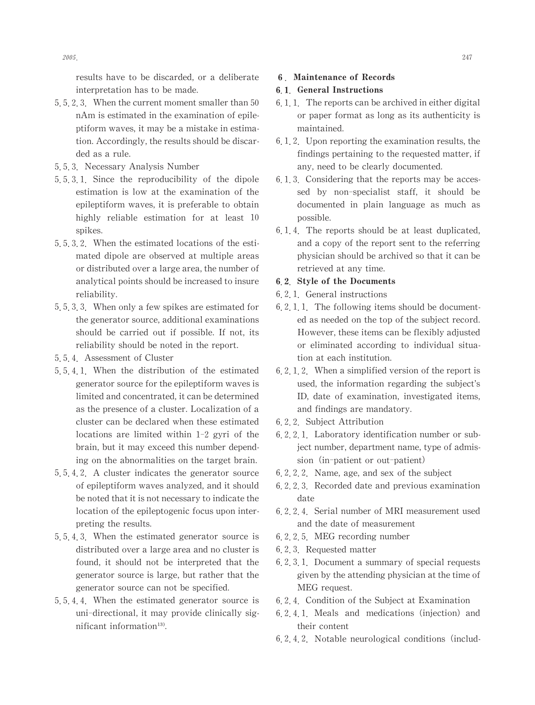results have to be discarded, or a deliberate interpretation has to be made.

- 5, 5, 2, 3. When the current moment smaller than  $50$ nAm is estimated in the examination of epileptiform waves, it may be a mistake in estimation. Accordingly, the results should be discarded as a rule.
- 5 5 3 NecessaryAnalysis Number
- 5 5 3 1 Since the reproducibility of the dipole estimation is low at the examination of the epileptiform waves, it is preferable to obtain highly reliable estimation for at least 10 spikes.
- 5 5 3 2 When the estimated locations of the estimated dipole are observed at multiple areas or distributed over a large area, the number of analytical points should be increased to insure reliability.
- 5, 5, 3, 3. When only a few spikes are estimated for the generator source, additional examinations should be carried out if possible. If not, its reliability should be noted in the report.
- 5 5 4 Assessment of Cluster
- 5 5 4 1 When the distribution of the estimated generator source for the epileptiform waves is limited and concentrated, it can be determined as the presence of a cluster. Localization of a cluster can be declared when these estimated locations are limited within 1-2 gyri of the brain, but it may exceed this number depending on the abnormalities on the target brain.
- 5 5 4 2 A cluster indicates the generator source of epileptiform waves analyzed, and it should be noted that it is not necessary to indicate the location of the epileptogenic focus upon interpreting the results.
- 5 5 4 3 When the estimated generator source is distributed over a large area and no cluster is found, it should not be interpreted that the generator source is large, but rather that the generator source can not be specified.
- 5 5 4 4 When the estimated generator source is uni-directional, it may provide clinically significant information<sup>13)</sup>.

### 쏴 Maintenance of Records

### 6.1. General Instructions

- $6, 1, 1$ . The reports can be archived in either digital or paper format as long as its authenticity is maintained.
- 6.1.2. Upon reporting the examination results, the findings pertaining to the requested matter, if any, need to be clearly documented.
- 6.1.3. Considering that the reports may be accessed by non-specialist staff, it should be documented in plain language as much as possible.
- 6 1 4 The reports should be at least duplicated, and a copy of the report sent to the referring physician should be archived so that it can be retrieved at any time.

### 6.2 Style of the Documents

- 6 2 1 General instructions
- $6, 2, 1, 1$ . The following items should be documented as needed on the top of the subject record. However, these items can be flexibly adjusted or eliminated according to individual situation at each institution.
- $6, 2, 1, 2$ . When a simplified version of the report is used, the information regarding the subject's ID, date of examination, investigated items, and findings are mandatory.
- 6 2 2 Subject Attribution
- 6 2 2 1 Laboratory identification number or subject number, department name, type of admission (in-patient or out-patient)
- $6, 2, 2, 2$ . Name, age, and sex of the subject
- 6 2 2 3 Recorded date and previous examination date
- 6 2 2 4 Serial number of MRI measurement used and the date of measurement
- 6 2 2 5 MEG recording number
- 6 2 3 Requested matter
- 6.2.3.1. Document a summary of special requests given by the attending physician at the time of MEG request.
- 6 2 4 Condition of the Subject at Examination
- 6.2.4.1. Meals and medications (injection) and their content
- 6 2 4 2 Notable neurological conditions(includ-

 $2005.$  2005.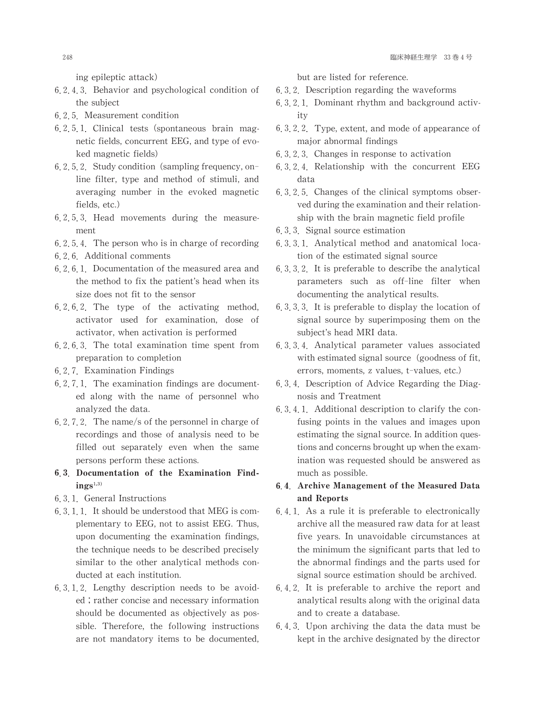ing epileptic attack)

- 6 2 4 3 Behavior and psychological condition of the subject
- 6 2 5 Measurement condition
- 6 2 5 1 Clinical tests(spontaneous brain magnetic fields, concurrent EEG, and type of evoked magnetic fields)
- 6.2.5.2. Study condition (sampling frequency, online filter, type and method of stimuli, and averaging number in the evoked magnetic fields, etc.)
- 6 2 5 3 Head movements during the measurement
- $6, 2, 5, 4$ . The person who is in charge of recording
- 6 2 6 Additional comments
- $6, 2, 6, 1$ . Documentation of the measured area and the method to fix the patient's head when its size does not fit to the sensor
- 6 2 6 2 The type of the activating method, activator used for examination, dose of activator,when activation is performed
- 6 2 6 3 The total examination time spent from preparation to completion
- 6 2 7 Examination Findings
- $6, 2, 7, 1$ . The examination findings are documented along with the name of personnel who analyzed the data.
- 6.2.7.2. The name/s of the personnel in charge of recordings and those of analysis need to be filled out separately even when the same persons perform these actions.
- 6.3. Documentation of the Examination Find- $\text{ings}^{1,3)}$
- 6 3 1 General Instructions
- $6, 3, 1, 1$  It should be understood that MEG is complementary to EEG, not to assist EEG. Thus, upon documenting the examination findings, the technique needs to be described precisely similar to the other analytical methods conducted at each institution.
- 6 3 1 2 Lengthy description needs to be avoided; rather concise and necessary information should be documented as objectively as possible. Therefore, the following instructions are not mandatory items to be documented,

but are listed for reference.

- 6 3 2 Description regarding the waveforms
- 6 3 2 1 Dominant rhythm and background activity
- 6, 3, 2, 2. Type, extent, and mode of appearance of major abnormal findings
- 6 3 2 3 Changes in response to activation
- 6 3 2 4 Relationship with the concurrent EEG data
- 6 3 2 5 Changes of the clinical symptoms observed during the examination and their relationship with the brain magnetic field profile
- 6 3 3 Signal source estimation
- 6 3 3 1 Analytical method and anatomical location of the estimated signal source
- 6 3 3 2 It is preferable to describe the analytical parameters such as off-line filter when documenting the analytical results.
- 6 3 3 3 It is preferable to display the location of signal source by superimposing them on the subject's head MRI data.
- 6 3 3 4 Analytical parameter values associated with estimated signal source (goodness of fit, errors, moments, z values, t-values, etc.)
- 6 3 4 Description of Advice Regarding the Diagnosis and Treatment
- 6 3 4 1 Additional description to clarify the confusing points in the values and images upon estimating the signal source. In addition questions and concerns brought up when the examination was requested should be answered as much as possible.

# 6.4 Archive Management of the Measured Data and Reports

- 6 4 1 As a rule it is preferable to electronically archive all the measured raw data for at least five years. In unavoidable circumstances at the minimum the significant parts that led to the abnormal findings and the parts used for signal source estimation should be archived.
- 6 4 2 It is preferable to archive the report and analytical results along with the original data and to create a database.
- 6 4 3 Upon archiving the data the data must be kept in the archive designated by the director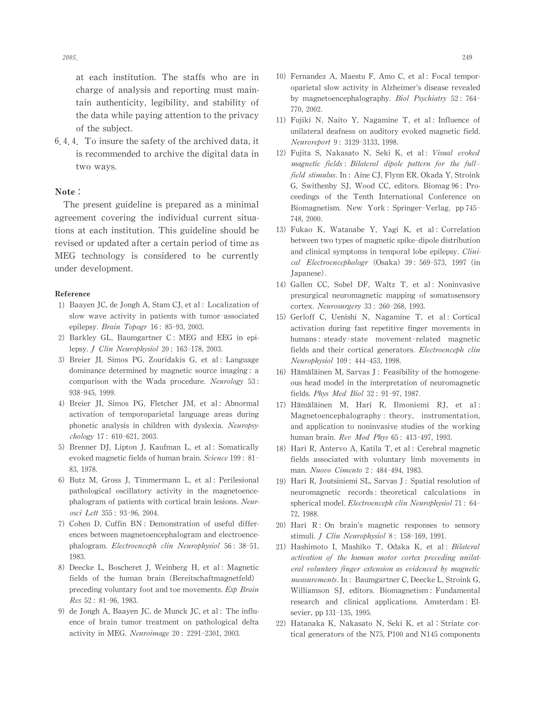at each institution. The staffs who are in charge of analysis and reporting must maintain authenticity, legibility, and stability of the data while paying attention to the privacy of the subject.

6.4.4. To insure the safety of the archived data, it is recommended to archive the digital data in two ways.

#### Note:

The present guideline is prepared as a minimal agreement covering the individual current situations at each institution. This guideline should be revised or updated after a certain period of time as MEG technology is considered to be currently under development.

#### Reference

- 1) Baayen JC, de Jongh A, Stam CJ, et al: Localization of slow wave activity in patients with tumor-associated epilepsy. Brain Topogr  $16: 85-93, 2003$ .
- 2) Barkley GL, Baumgartner  $C$ : MEG and EEG in epilepsy. *J Clin Neurophysiol* 20: 163-178, 2003.
- 3) Breier JI, Simos PG, Zouridakis G, et al: Language dominance determined by magnetic source imaging : a comparison with the Wada procedure. Neurology 53: 938-945,1999.
- 4) Breier JI, Simos PG, Fletcher JM, et al:Abnormal activation of temporoparietal language areas during phonetic analysis in children with dyslexia. Neuropsy $chology$  17: 610-621, 2003.
- 5) Brenner DJ, Lipton J, Kaufman L, et al: Somatically evoked magnetic fields of human brain. Science 199: 81-83,1978.
- 6) Butz M, Gross J, Timmermann L, et al: Perilesional pathological oscillatory activity in the magnetoencephalogram of patients with cortical brain lesions. Neurosci Lett 355: 93-96,2004.
- 7) Cohen D, Cuffin BN : Demonstration of useful differences between magnetoencephalogram and electroencephalogram. Electroenceph clin Neurophysiol 56: 38-51, 1983.
- 8) Deecke L, Boscheret J, Weinberg H, et al: Magnetic fields of the human brain(Bereitschaftmagnetfeld) preceding voluntary foot and toe movements. Exp Brain Res 52: 81-96,1983.
- 9) de Jongh A, Baayen JC, de Munck JC, et al: The influence of brain tumor treatment on pathological delta activity in MEG. Neuroimage 20: 2291-2301, 2003.
- 10) Fernandez A, Maestu F, Amo C, et al: Focal temporoparietal slow activity in Alzheimer's disease revealed by magnetoencephalography. Biol Psychiatry 52: 764-770,2002.
- 11) Fujiki N, Naito Y, Nagamine T, et al: Influence of unilateral deafness on auditory evoked magnetic field. Neuroreport 9: 3129-3133,1998.
- 12) Fujita S, Nakasato N, Seki K, et al: Visual evoked magnetic fields: Bilateral dipole pattern for the fullfield stimulus. In: Aine CJ, Flynn ER, Okada Y, Stroink G, Swithenby SJ, Wood CC, editors. Biomag 96: Proceedings of the Tenth International Conference on Biomagnetism. New York : Springer-Verlag, pp745- 748,2000.
- 13) Fukao K, Watanabe Y, Yagi K, et al: Correlation between two types of magnetic spike-dipole distribution and clinical symptoms in temporal lobe epilepsy. Clinical Electroencephalogr (Osaka) 39: 569-573, 1997 (in Japanese).
- 14) Gallen CC, Sobel DF, Waltz T, et al: Noninvasive presurgical neuromagnetic mapping of somatosensory cortex. Neurosurgery 33: 260-268, 1993.
- 15) Gerloff C, Uenishi N, Nagamine T, et al: Cortical activation during fast repetitive finger movements in humans: steady-state movement-related magnetic fields and their cortical generators. Electroenceph clin Neurophysiol 109: 444-453,1998.
- 16) Hämäläinen M, Sarvas J : Feasibility of the homogeneous head model in the interpretation of neuromagnetic fields. Phys Med Biol 32: 91-97, 1987.
- 17) Hämäläinen M, Hari R, Ilmoniemi RJ, et al: Magnetoencephalography: theory, instrumentation, and application to noninvasive studies of the working human brain. Rev Mod Phys 65: 413-497, 1993.
- 18) Hari R, Antervo A, Katila T, et al: Cerebral magnetic fields associated with voluntary limb movements in man. Nuovo Cimento 2: 484-494, 1983.
- 19) Hari R, Joutsiniemi SL, Sarvas J: Spatial resolution of neuromagnetic records: theoretical calculations in spherical model. Electroenceph clin Neurophysiol 71: 64-72,1988.
- 20) Hari  $R:$  On brain's magnetic responses to sensory stimuli. *J Clin Neurophysiol* 8: 158-169, 1991.
- 21) Hashimoto I, Mashiko T, Odaka K, et al: Bilateral activation of the human motor cortex preceding unilateral voluntary finger extension as evidenced by magnetic measurements. In: Baumgartner C, Deecke L, Stroink G, Williamson SJ, editors. Biomagnetism: Fundamental research and clinical applications. Amsterdam: Elsevier, pp 131-135, 1995.
- 22) Hatanaka K, Nakasato N, Seki K, et al:Striate cortical generators of the N75,  $P100$  and N145 components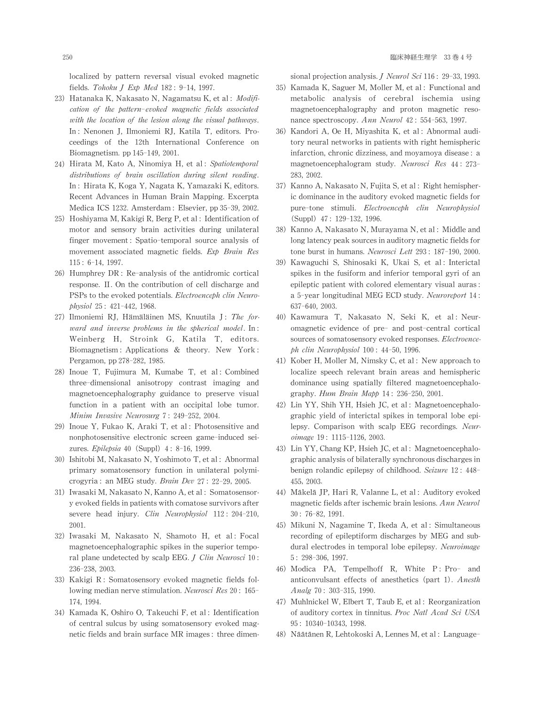localized by pattern reversal visual evoked magnetic fields. Tohoku J Exp Med 182: 9-14, 1997.

- 23) Hatanaka K, Nakasato N, Nagamatsu K, et al: Modification of the pattern-evoked magnetic fields associated with the location of the lesion along the visual pathways. In: Nenonen J, Ilmoniemi RJ, Katila T, editors. Proceedings of the 12th International Conference on Biomagnetism. pp 145-149, 2001.
- 24) Hirata M, Kato A, Ninomiya H, et al: Spatiotemporal distributions of brain oscillation during silent reading. In: Hirata K, Koga Y, Nagata K, Yamazaki K, editors. Recent Advances in Human Brain Mapping. Excerpta Medica ICS 1232. Amsterdam: Elsevier, pp 35-39, 2002.
- 25) Hoshiyama M, Kakigi R, Berg P, et al: Identification of motor and sensory brain activities during unilateral finger movement: Spatio-temporal source analysis of movement associated magnetic fields. Exp Brain Res 115: 6-14,1997.
- 26) Humphrey DR : Re-analysis of the antidromic cortical response.Ⅱ. On the contribution of cell discharge and PSPs to the evoked potentials. Electroenceph clin Neurophysiol 25: 421-442,1968.
- 27) Ilmoniemi RJ, Hämäläinen MS, Knuutila J: The forward and inverse problems in the spherical model. In: Weinberg H, Stroink G, Katila T, editors. Biomagnetism: Applications & theory. New York : Pergamon, pp 278-282, 1985.
- 28) Inoue T, Fujimura M, Kumabe T, et al: Combined three-dimensional anisotropy contrast imaging and magnetoencephalography guidance to preserve visual function in a patient with an occipital lobe tumor. Minim Invasive Neurosurg 7: 249-252, 2004.
- 29) Inoue Y, Fukao K, Araki T, et al: Photosensitive and nonphotosensitive electronic screen game-induced seizures. Epilepsia 40 (Suppl) 4: 8-16, 1999.
- 30) Ishitobi M, Nakasato N, Yoshimoto T, et al: Abnormal primary somatosensory function in unilateral polymicrogyria: an MEG study. Brain Dev 27: 22-29, 2005.
- 31) Iwasaki M, Nakasato N, Kanno A, et al: Somatosensory evoked fields in patients with comatose survivors after severe head injury. Clin Neurophysiol 112: 204-210, 2001.
- 32) Iwasaki M, Nakasato N, Shamoto H, et al: Focal magnetoencephalographic spikes in the superior temporal plane undetected by scalp EEG.  $J$  Clin Neurosci 10: 236-238,2003.
- 33) Kakigi R: Somatosensory evoked magnetic fields following median nerve stimulation. Neurosci Res 20: 165-174,1994.
- 34) Kamada K, Oshiro O, Takeuchi F, et al: Identification of central sulcus by using somatosensory evoked magnetic fields and brain surface MR images: three dimen-

sional projection analysis. *J Neurol Sci* 116: 29-33, 1993.

- 35) Kamada K, Saguer M, Moller M, et al: Functional and metabolic analysis of cerebral ischemia using magnetoencephalography and proton magnetic resonance spectroscopy. Ann Neurol 42: 554-563, 1997.
- 36) Kandori A, Oe H, Miyashita K, et al:Abnormal auditory neural networks in patients with right hemispheric infarction, chronic dizziness, and moyamoya disease: a magnetoencephalogram study. Neurosci Res 44: 273- 283,2002.
- 37) Kanno A, Nakasato N, Fujita S, et al: Right hemispheric dominance in the auditory evoked magnetic fields for pure-tone stimuli. Electroenceph clin Neurophysiol (Suppl)47: 129-132,1996.
- 38) Kanno A, Nakasato N, Murayama N, et al: Middle and long latency peak sources in auditory magnetic fields for tone burst in humans. Neurosci Lett 293: 187-190, 2000.
- 39) Kawaguchi S, Shinosaki K, Ukai S, et al: Interictal spikes in the fusiform and inferior temporal gyri of an epileptic patient with colored elementary visual auras: a 5-year longitudinal MEG ECD study. Neuroreport 14: 637-640,2003.
- 40) Kawamura T, Nakasato N, Seki K, et al: Neuromagnetic evidence of pre- and post-central cortical sources of somatosensory evoked responses. Electroenceph clin Neurophysiol 100: 44-50,1996.
- 41) Kober H, Moller M, Nimsky C, et al: New approach to localize speech relevant brain areas and hemispheric dominance using spatially filtered magnetoencephalography. Hum Brain Mapp 14: 236-250, 2001.
- 42) Lin YY, Shih YH, Hsieh JC, et al: Magnetoencephalographic yield of interictal spikes in temporal lobe epilepsy. Comparison with scalp EEG recordings. Neuroimage 19: 1115-1126,2003.
- 43) Lin YY, Chang KP, Hsieh JC, et al: Magnetoencephalographic analysis of bilaterally synchronous discharges in benign rolandic epilepsy of childhood. Seizure 12: 448-455,2003.
- 44) Mäkelä JP, Hari R, Valanne L, et al: Auditory evoked magnetic fields after ischemic brain lesions. Ann Neurol 30: 76-82,1991.
- 45) Mikuni N, Nagamine T, Ikeda A, et al: Simultaneous recording of epileptiform discharges by MEG and subdural electrodes in temporal lobe epilepsy. Neuroimage 5: 298-306,1997.
- 46) Modica PA, Tempelhoff R, White P: Pro- and anticonvulsant effects of anesthetics (part 1). Anesth Analg 70: 303-315,1990.
- 47) MuhlnickelW,Elbert T,Taub E,et al: Reorganization of auditory cortex in tinnitus. Proc Natl Acad Sci USA 95: 10340-10343,1998.
- 48) Näätänen R, Lehtokoski A, Lennes M, et al: Language-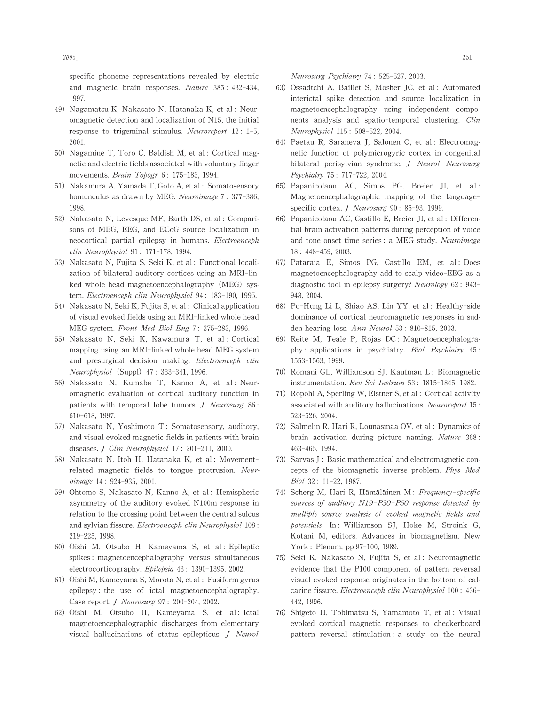specific phoneme representations revealed by electric and magnetic brain responses. Nature 385: 432-434, 1997.

- 49) Nagamatsu K, Nakasato N, Hatanaka K, et al: Neuromagnetic detection and localization of N15, the initial response to trigeminal stimulus. Neuroreport 12: 1-5, 2001.
- 50) Nagamine T, Toro C, Baldish M, et al: Cortical magnetic and electric fields associated with voluntary finger movements. Brain Topogr 6: 175-183, 1994.
- 51) NakamuraA,YamadaT,GotoA,etal: Somatosensory homunculus as drawn by MEG. Neuroimage 7: 377-386. 1998.
- 52) Nakasato N, Levesque MF, Barth DS, et al: Comparisons of MEG, EEG, and ECoG source localization in neocortical partial epilepsy in humans. Electroenceph clin Neurophysiol 91: 171-178,1994.
- 53) Nakasato N, Fujita S, Seki K, et al: Functional localization of bilateral auditory cortices using an MRI-linked whole head magnetoencephalography (MEG) system. Electroenceph clin Neurophysiol 94: 183-190, 1995.
- 54) Nakasato N, Seki K, Fujita S, et al : Clinical application of visual evoked fields using an MRI-linked whole head MEG system. Front Med Biol Eng 7: 275-283, 1996.
- 55) Nakasato N, Seki K, Kawamura T, et al: Cortical mapping using an MRI-linked whole head MEG system and presurgical decision making. Electroenceph clin Neurophysiol (Suppl) 47: 333-341, 1996.
- 56) Nakasato N, Kumabe T, Kanno A, et al: Neuromagnetic evaluation of cortical auditory function in patients with temporal lobe tumors. *J Neurosurg* 86: 610-618,1997.
- 57) Nakasato N, Yoshimoto T : Somatosensory, auditory, and visual evoked magnetic fields in patients with brain diseases. J Clin Neurophysiol 17: 201-211, 2000.
- 58) Nakasato N, Itoh H, Hatanaka K, et al: Movementrelated magnetic fields to tongue protrusion. Neuroimage 14: 924-935, 2001.
- 59) Ohtomo S, Nakasato N, Kanno A, et al: Hemispheric asymmetry of the auditory evoked N100m response in relation to the crossing point between the central sulcus and sylvian fissure. Electroenceph clin Neurophysiol 108: 219-225,1998.
- 60) Oishi M, Otsubo H, Kameyama S, et al: Epileptic spikes: magnetoencephalography versus simultaneous electrocorticography. Epilepsia 43: 1390-1395, 2002.
- 61) OishiM,KameyamaS,MorotaN,etal: Fusiformgyrus epilepsy: the use of ictal magnetoencephalography. Case report. *J Neurosurg* 97: 200-204, 2002.
- 62) Oishi M, Otsubo H, Kameyama S, et al:Ictal magnetoencephalographic discharges from elementary visual hallucinations of status epilepticus. J Neurol

Neurosurg Psychiatry 74: 525-527, 2003.

- 63) Ossadtchi A, Baillet S, Mosher JC, et al: Automated interictal spike detection and source localization in magnetoencephalography using independent components analysis and spatio-temporal clustering. Clin Neurophysiol 115: 508-522, 2004.
- 64) Paetau R, Saraneva J, Salonen O, et al: Electromagnetic function of polymicrogyric cortex in congenital bilateral perisylvian syndrome. J Neurol Neurosurg Psychiatry 75: 717-722,2004.
- 65) Papanicolaou AC, Simos PG, Breier JI, et al: Magnetoencephalographic mapping of the languagespecific cortex. J Neurosurg 90: 85-93, 1999.
- 66) Papanicolaou AC, Castillo E, Breier II, et al: Differential brain activation patterns during perception of voice and tone onset time series: a MEG study. Neuroimage 18: 448-459,2003.
- 67) Pataraia E, Simos PG, Castillo EM, et al: Does magnetoencephalography add to scalp video-EEG as a diagnostic tool in epilepsy surgery? Neurology  $62: 943-$ 948,2004.
- 68) Po-Hung Li L, Shiao AS, Lin YY, et al: Healthy-side dominance of cortical neuromagnetic responses in sudden hearing loss.  $Ann$  Neurol 53: 810-815, 2003.
- 69) Reite M, Teale P, Rojas DC: Magnetoencephalography: applications in psychiatry. Biol Psychiatry 45: 1553-1563,1999.
- 70) Romani GL, Williamson SJ, Kaufman L: Biomagnetic instrumentation. Rev Sci Instrum 53: 1815-1845, 1982.
- 71) Ropohl A, Sperling W, Elstner S, et al: Cortical activity associated with auditory hallucinations. Neuroreport 15: 523-526,2004.
- 72) Salmelin R, Hari R, Lounasmaa OV, et al: Dynamics of brain activation during picture naming. Nature 368: 463-465,1994.
- 73) Sarvas J: Basic mathematical and electromagnetic concepts of the biomagnetic inverse problem. Phys Med Biol 32: 11-22,1987.
- 74) Scherg M, Hari R, Hämäläinen M: Frequency-specific sources of auditory N19-P30-P50 response detected by multiple source analysis of evoked magnetic fields and potentials. In:Williamson SJ, Hoke M, Stroink G, Kotani M, editors. Advances in biomagnetism. New York : Plenum, pp 97-100, 1989.
- 75) Seki K, Nakasato N, Fujita S, et al: Neuromagnetic evidence that the P100 component of pattern reversal visual evoked response originates in the bottom of calcarine fissure. Electroenceph clin Neurophysiol 100: 436-442,1996.
- 76) Shigeto H, Tobimatsu S, Yamamoto T, et al:Visual evoked cortical magnetic responses to checkerboard pattern reversal stimulation: a study on the neural